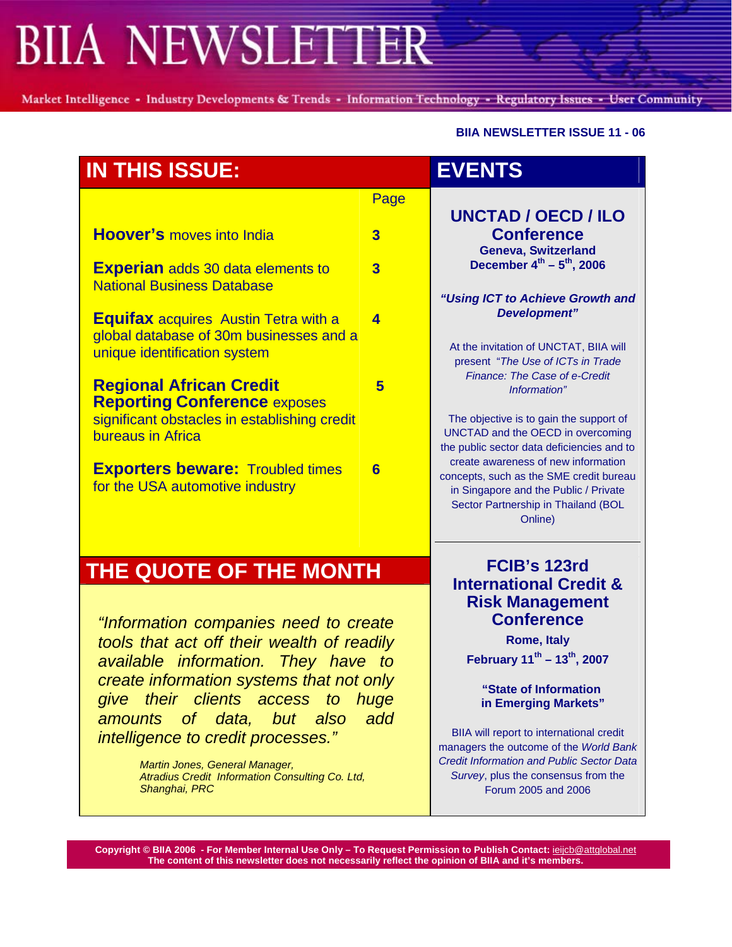# **BIIA NEWSLETTER**

Market Intelligence - Industry Developments & Trends - Information Technology - Regulatory Issues - User Community

#### **BIIA NEWSLETTER ISSUE 11 - 06**

| <b>IN THIS ISSUE:</b>                                                                                                  |                         | <b>EVENTS</b>                                                                                                                                                                                                                                                                   |  |
|------------------------------------------------------------------------------------------------------------------------|-------------------------|---------------------------------------------------------------------------------------------------------------------------------------------------------------------------------------------------------------------------------------------------------------------------------|--|
|                                                                                                                        | Page                    | <b>UNCTAD / OECD / ILO</b>                                                                                                                                                                                                                                                      |  |
| <b>Hoover's</b> moves into India                                                                                       | $\overline{3}$          | <b>Conference</b><br><b>Geneva, Switzerland</b><br>December $4^{th} - 5^{th}$ , 2006<br>"Using ICT to Achieve Growth and<br>Development"<br>At the invitation of UNCTAT, BIIA will<br>present "The Use of ICTs in Trade<br><b>Finance: The Case of e-Credit</b><br>Information" |  |
| <b>Experian</b> adds 30 data elements to<br><b>National Business Database</b>                                          | $\overline{3}$          |                                                                                                                                                                                                                                                                                 |  |
| <b>Equifax</b> acquires Austin Tetra with a<br>global database of 30m businesses and a<br>unique identification system | $\overline{\mathbf{A}}$ |                                                                                                                                                                                                                                                                                 |  |
| <b>Regional African Credit</b><br><b>Reporting Conference exposes</b>                                                  | 5                       |                                                                                                                                                                                                                                                                                 |  |
| significant obstacles in establishing credit<br>bureaus in Africa                                                      |                         | The objective is to gain the support of<br>UNCTAD and the OECD in overcoming<br>the public sector data deficiencies and to                                                                                                                                                      |  |
| <b>Exporters beware: Troubled times</b><br>for the USA automotive industry                                             | 6                       | create awareness of new information<br>concepts, such as the SME credit bureau<br>in Singapore and the Public / Private<br>Sector Partnership in Thailand (BOL<br>Online)                                                                                                       |  |
| THE QUOTE OF THE MONTH<br>"Information companies need to create                                                        |                         | FCIB's 123rd<br><b>International Credit &amp;</b><br><b>Risk Management</b><br><b>Conference</b>                                                                                                                                                                                |  |
| tools that act off their wealth of readily<br>available information. They have to                                      |                         | <b>Rome, Italy</b><br>February 11 <sup>th</sup> - 13 <sup>th</sup> , 2007                                                                                                                                                                                                       |  |
| create information systems that not only<br>give their clients access to<br>amounts of data,<br>but<br>also            | huge<br>add             | "State of Information<br>in Emerging Markets"                                                                                                                                                                                                                                   |  |
|                                                                                                                        |                         | BIIA will report to international credit<br>managers the outcome of the World Bank<br><b>Credit Information and Public Sector Data</b><br>Survey, plus the consensus from the<br>Forum 2005 and 2006                                                                            |  |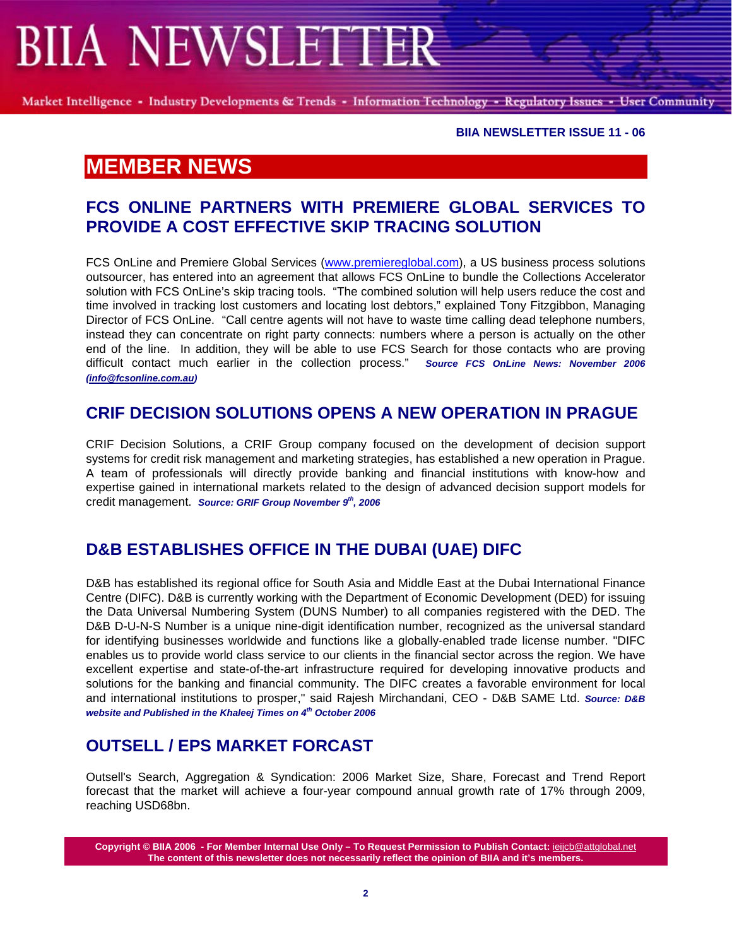# **BIIA NEWSLETTER**

Market Intelligence - Industry Developments & Trends - Information Technology - Regulatory Issues - User Community

**BIIA NEWSLETTER ISSUE 11 - 06** 

## **MEMBER NEWS**

#### **FCS ONLINE PARTNERS WITH PREMIERE GLOBAL SERVICES TO PROVIDE A COST EFFECTIVE SKIP TRACING SOLUTION**

FCS OnLine and Premiere Global Services ([www.premiereglobal.com](http://www.premiereglobal.com/)), a US business process solutions outsourcer, has entered into an agreement that allows FCS OnLine to bundle the Collections Accelerator solution with FCS OnLine's skip tracing tools. "The combined solution will help users reduce the cost and time involved in tracking lost customers and locating lost debtors," explained Tony Fitzgibbon, Managing Director of FCS OnLine. "Call centre agents will not have to waste time calling dead telephone numbers, instead they can concentrate on right party connects: numbers where a person is actually on the other end of the line. In addition, they will be able to use FCS Search for those contacts who are proving difficult contact much earlier in the collection process." *Source FCS OnLine News: November 2006 ([info@fcsonline.com.au](mailto:info@fcsonline.com.au))* 

### **CRIF DECISION SOLUTIONS OPENS A NEW OPERATION IN PRAGUE**

CRIF Decision Solutions, a CRIF Group company focused on the development of decision support systems for credit risk management and marketing strategies, has established a new operation in Prague. A team of professionals will directly provide banking and financial institutions with know-how and expertise gained in international markets related to the design of advanced decision support models for credit management. *Source: GRIF Group November 9th, 2006* 

### **D&B ESTABLISHES OFFICE IN THE DUBAI (UAE) DIFC**

D&B has established its regional office for South Asia and Middle East at the Dubai International Finance Centre (DIFC). D&B is currently working with the Department of Economic Development (DED) for issuing the Data Universal Numbering System (DUNS Number) to all companies registered with the DED. The D&B D-U-N-S Number is a unique nine-digit identification number, recognized as the universal standard for identifying businesses worldwide and functions like a globally-enabled trade license number. "DIFC enables us to provide world class service to our clients in the financial sector across the region. We have excellent expertise and state-of-the-art infrastructure required for developing innovative products and solutions for the banking and financial community. The DIFC creates a favorable environment for local and international institutions to prosper," said Rajesh Mirchandani, CEO - D&B SAME Ltd. *Source: D&B website and Published in the Khaleej Times on 4th October 2006* 

## **OUTSELL / EPS MARKET FORCAST**

Outsell's Search, Aggregation & Syndication: 2006 Market Size, Share, Forecast and Trend Report forecast that the market will achieve a four-year compound annual growth rate of 17% through 2009, reaching USD68bn.

**Copyright © BIIA 2006 - For Member Internal Use Only – To Request Permission to Publish Contact:** ieijcb@attglobal.net **The content of this newsletter does not necessarily reflect the opinion of BIIA and it's members.**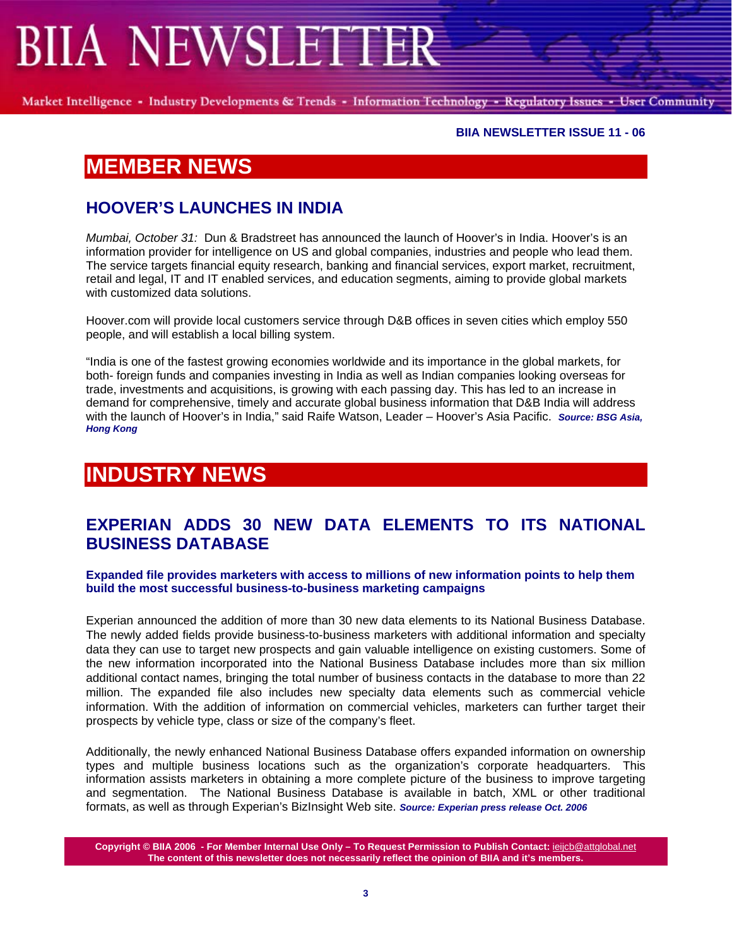# **SIIA NEWSLETTER**

Market Intelligence - Industry Developments & Trends - Information Technology - Regulatory Issues - User Community

#### **BIIA NEWSLETTER ISSUE 11 - 06**

## **MEMBER NEWS**

### **HOOVER'S LAUNCHES IN INDIA**

*Mumbai, October 31:* Dun & Bradstreet has announced the launch of Hoover's in India. Hoover's is an information provider for intelligence on US and global companies, industries and people who lead them. The service targets financial equity research, banking and financial services, export market, recruitment, retail and legal, IT and IT enabled services, and education segments, aiming to provide global markets with customized data solutions.

Hoover.com will provide local customers service through D&B offices in seven cities which employ 550 people, and will establish a local billing system.

"India is one of the fastest growing economies worldwide and its importance in the global markets, for both- foreign funds and companies investing in India as well as Indian companies looking overseas for trade, investments and acquisitions, is growing with each passing day. This has led to an increase in demand for comprehensive, timely and accurate global business information that D&B India will address with the launch of Hoover's in India," said Raife Watson, Leader – Hoover's Asia Pacific. *Source: BSG Asia, Hong Kong*

# **INDUSTRY NEWS**

#### **EXPERIAN ADDS 30 NEW DATA ELEMENTS TO ITS NATIONAL BUSINESS DATABASE**

**Expanded file provides marketers with access to millions of new information points to help them build the most successful business-to-business marketing campaigns** 

Experian announced the addition of more than 30 new data elements to its National Business Database. The newly added fields provide business-to-business marketers with additional information and specialty data they can use to target new prospects and gain valuable intelligence on existing customers. Some of the new information incorporated into the National Business Database includes more than six million additional contact names, bringing the total number of business contacts in the database to more than 22 million. The expanded file also includes new specialty data elements such as commercial vehicle information. With the addition of information on commercial vehicles, marketers can further target their prospects by vehicle type, class or size of the company's fleet.

Additionally, the newly enhanced National Business Database offers expanded information on ownership types and multiple business locations such as the organization's corporate headquarters. This information assists marketers in obtaining a more complete picture of the business to improve targeting and segmentation. The National Business Database is available in batch, XML or other traditional formats, as well as through Experian's BizInsight Web site. *Source: Experian press release Oct. 2006* 

**Copyright © BIIA 2006 - For Member Internal Use Only – To Request Permission to Publish Contact:** ieijcb@attglobal.net **The content of this newsletter does not necessarily reflect the opinion of BIIA and it's members.**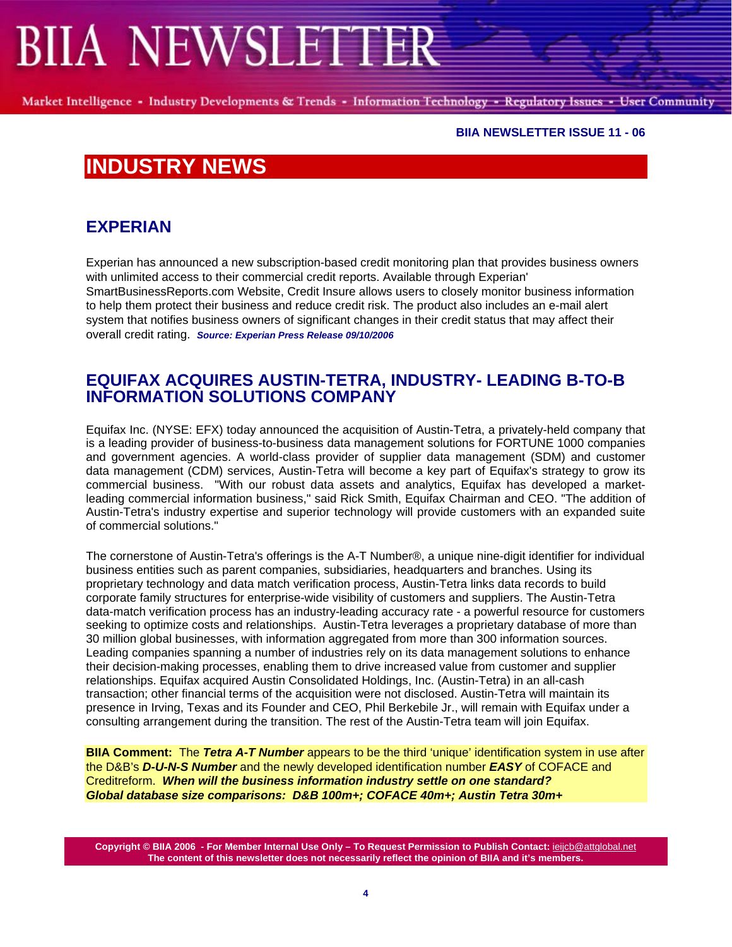# **IIA NEWSLETTER**

Market Intelligence - Industry Developments & Trends - Information Technology - Regulatory Issues - User Community

#### **BIIA NEWSLETTER ISSUE 11 - 06**

## **INDUSTRY NEWS**

### **EXPERIAN**

Experian has announced a new subscription-based credit monitoring plan that provides business owners with unlimited access to their commercial credit reports. Available through Experian' SmartBusinessReports.com Website, Credit Insure allows users to closely monitor business information to help them protect their business and reduce credit risk. The product also includes an e-mail alert system that notifies business owners of significant changes in their credit status that may affect their overall credit rating. *Source: Experian Press Release 09/10/2006* 

#### **EQUIFAX ACQUIRES AUSTIN-TETRA, INDUSTRY- LEADING B-TO-B INFORMATION SOLUTIONS COMPANY**

Equifax Inc. (NYSE: EFX) today announced the acquisition of Austin-Tetra, a privately-held company that is a leading provider of business-to-business data management solutions for FORTUNE 1000 companies and government agencies. A world-class provider of supplier data management (SDM) and customer data management (CDM) services, Austin-Tetra will become a key part of Equifax's strategy to grow its commercial business. "With our robust data assets and analytics, Equifax has developed a marketleading commercial information business," said Rick Smith, Equifax Chairman and CEO. "The addition of Austin-Tetra's industry expertise and superior technology will provide customers with an expanded suite of commercial solutions."

The cornerstone of Austin-Tetra's offerings is the A-T Number®, a unique nine-digit identifier for individual business entities such as parent companies, subsidiaries, headquarters and branches. Using its proprietary technology and data match verification process, Austin-Tetra links data records to build corporate family structures for enterprise-wide visibility of customers and suppliers. The Austin-Tetra data-match verification process has an industry-leading accuracy rate - a powerful resource for customers seeking to optimize costs and relationships. Austin-Tetra leverages a proprietary database of more than 30 million global businesses, with information aggregated from more than 300 information sources. Leading companies spanning a number of industries rely on its data management solutions to enhance their decision-making processes, enabling them to drive increased value from customer and supplier relationships. Equifax acquired Austin Consolidated Holdings, Inc. (Austin-Tetra) in an all-cash transaction; other financial terms of the acquisition were not disclosed. Austin-Tetra will maintain its presence in Irving, Texas and its Founder and CEO, Phil Berkebile Jr., will remain with Equifax under a consulting arrangement during the transition. The rest of the Austin-Tetra team will join Equifax.

**BIIA Comment:** The *Tetra A-T Number* appears to be the third 'unique' identification system in use after the D&B's *D-U-N-S Number* and the newly developed identification number *EASY* of COFACE and Creditreform. *When will the business information industry settle on one standard? Global database size comparisons: D&B 100m+; COFACE 40m+; Austin Tetra 30m+*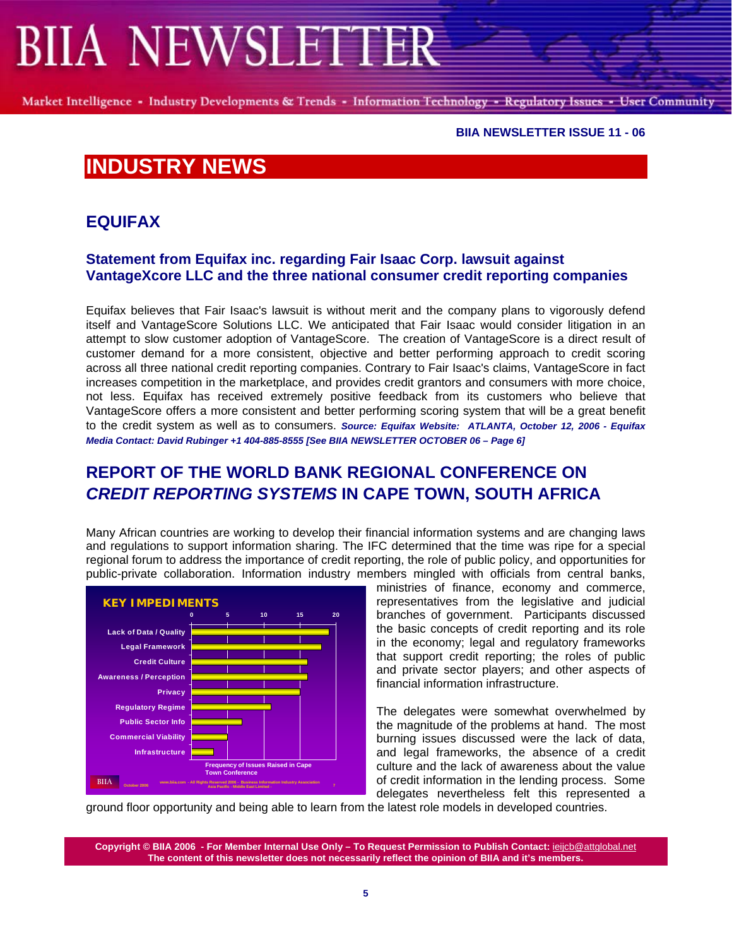# **BIIA NEWSLETTER**

Market Intelligence - Industry Developments & Trends - Information Technology - Regulatory Issues - User Community

#### **BIIA NEWSLETTER ISSUE 11 - 06**

# **INDUSTRY NEWS**

### **EQUIFAX**

#### **Statement from Equifax inc. regarding Fair Isaac Corp. lawsuit against VantageXcore LLC and the three national consumer credit reporting companies**

Equifax believes that Fair Isaac's lawsuit is without merit and the company plans to vigorously defend itself and VantageScore Solutions LLC. We anticipated that Fair Isaac would consider litigation in an attempt to slow customer adoption of VantageScore. The creation of VantageScore is a direct result of customer demand for a more consistent, objective and better performing approach to credit scoring across all three national credit reporting companies. Contrary to Fair Isaac's claims, VantageScore in fact increases competition in the marketplace, and provides credit grantors and consumers with more choice, not less. Equifax has received extremely positive feedback from its customers who believe that VantageScore offers a more consistent and better performing scoring system that will be a great benefit to the credit system as well as to consumers. *Source: Equifax Website: ATLANTA, October 12, 2006 - Equifax Media Contact: David Rubinger +1 404-885-8555 [See BIIA NEWSLETTER OCTOBER 06 – Page 6]* 

## **REPORT OF THE WORLD BANK REGIONAL CONFERENCE ON**  *CREDIT REPORTING SYSTEMS* **IN CAPE TOWN, SOUTH AFRICA**

Many African countries are working to develop their financial information systems and are changing laws and regulations to support information sharing. The IFC determined that the time was ripe for a special regional forum to address the importance of credit reporting, the role of public policy, and opportunities for public-private collaboration. Information industry members mingled with officials from central banks,



ministries of finance, economy and commerce, representatives from the legislative and judicial branches of government. Participants discussed the basic concepts of credit reporting and its role in the economy; legal and regulatory frameworks that support credit reporting; the roles of public and private sector players; and other aspects of financial information infrastructure.

The delegates were somewhat overwhelmed by the magnitude of the problems at hand. The most burning issues discussed were the lack of data, and legal frameworks, the absence of a credit culture and the lack of awareness about the value of credit information in the lending process. Some delegates nevertheless felt this represented a

ground floor opportunity and being able to learn from the latest role models in developed countries.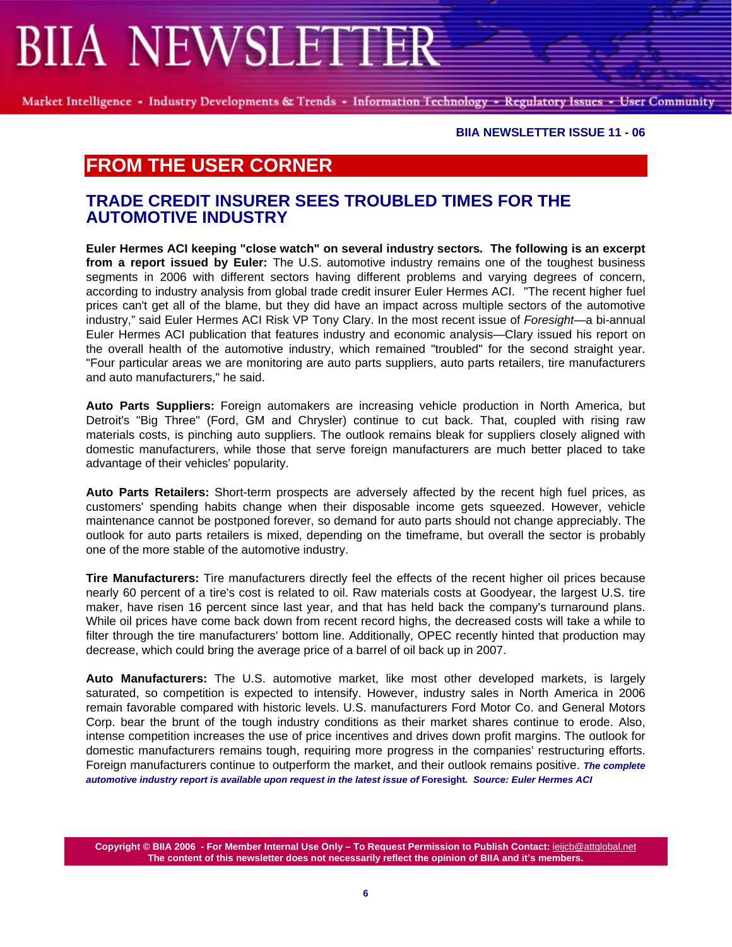# **IIA NEWSLETTER**

Market Intelligence - Industry Developments & Trends - Information Technology - Regulatory Issues - User Community

**BIIA NEWSLETTER ISSUE 11 - 06** 

## **FROM THE USER CORNER**

#### **TRADE CREDIT INSURER SEES TROUBLED TIMES FOR THE AUTOMOTIVE INDUSTRY**

**Euler Hermes ACI keeping "close watch" on several industry sectors***.* **The following is an excerpt from a report issued by Euler:** The U.S. automotive industry remains one of the toughest business segments in 2006 with different sectors having different problems and varying degrees of concern, according to industry analysis from global trade credit insurer Euler Hermes ACI. "The recent higher fuel prices can't get all of the blame, but they did have an impact across multiple sectors of the automotive industry," said Euler Hermes ACI Risk VP Tony Clary. In the most recent issue of *Foresight*—a bi-annual Euler Hermes ACI publication that features industry and economic analysis—Clary issued his report on the overall health of the automotive industry, which remained "troubled" for the second straight year. "Four particular areas we are monitoring are auto parts suppliers, auto parts retailers, tire manufacturers and auto manufacturers," he said.

**Auto Parts Suppliers:** Foreign automakers are increasing vehicle production in North America, but Detroit's "Big Three" (Ford, GM and Chrysler) continue to cut back. That, coupled with rising raw materials costs, is pinching auto suppliers. The outlook remains bleak for suppliers closely aligned with domestic manufacturers, while those that serve foreign manufacturers are much better placed to take advantage of their vehicles' popularity.

**Auto Parts Retailers:** Short-term prospects are adversely affected by the recent high fuel prices, as customers' spending habits change when their disposable income gets squeezed. However, vehicle maintenance cannot be postponed forever, so demand for auto parts should not change appreciably. The outlook for auto parts retailers is mixed, depending on the timeframe, but overall the sector is probably one of the more stable of the automotive industry.

**Tire Manufacturers:** Tire manufacturers directly feel the effects of the recent higher oil prices because nearly 60 percent of a tire's cost is related to oil. Raw materials costs at Goodyear, the largest U.S. tire maker, have risen 16 percent since last year, and that has held back the company's turnaround plans. While oil prices have come back down from recent record highs, the decreased costs will take a while to filter through the tire manufacturers' bottom line. Additionally, OPEC recently hinted that production may decrease, which could bring the average price of a barrel of oil back up in 2007.

**Auto Manufacturers:** The U.S. automotive market, like most other developed markets, is largely saturated, so competition is expected to intensify. However, industry sales in North America in 2006 remain favorable compared with historic levels. U.S. manufacturers Ford Motor Co. and General Motors Corp. bear the brunt of the tough industry conditions as their market shares continue to erode. Also, intense competition increases the use of price incentives and drives down profit margins. The outlook for domestic manufacturers remains tough, requiring more progress in the companies' restructuring efforts. Foreign manufacturers continue to outperform the market, and their outlook remains positive. *The complete automotive industry report is available upon request in the latest issue of* **Foresight***. Source: Euler Hermes ACI*

**Copyright © BIIA 2006 - For Member Internal Use Only – To Request Permission to Publish Contact:** ieijcb@attglobal.net **The content of this newsletter does not necessarily reflect the opinion of BIIA and it's members.**